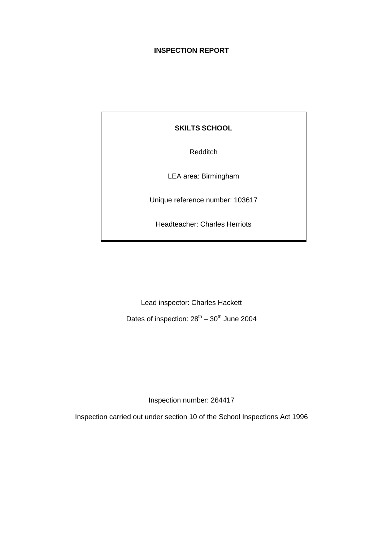# **INSPECTION REPORT**

**SKILTS SCHOOL**

Redditch

LEA area: Birmingham

Unique reference number: 103617

Headteacher: Charles Herriots

Lead inspector: Charles Hackett

Dates of inspection:  $28^{th} - 30^{th}$  June 2004

Inspection number: 264417

Inspection carried out under section 10 of the School Inspections Act 1996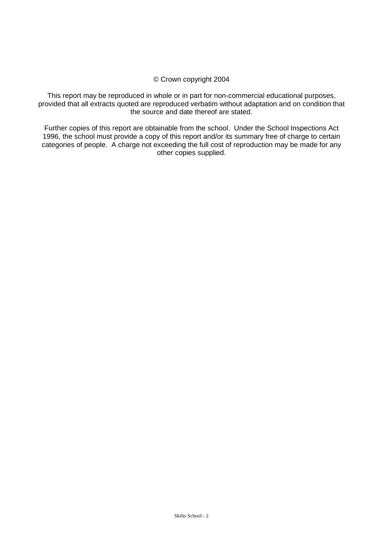#### © Crown copyright 2004

This report may be reproduced in whole or in part for non-commercial educational purposes, provided that all extracts quoted are reproduced verbatim without adaptation and on condition that the source and date thereof are stated.

Further copies of this report are obtainable from the school. Under the School Inspections Act 1996, the school must provide a copy of this report and/or its summary free of charge to certain categories of people. A charge not exceeding the full cost of reproduction may be made for any other copies supplied.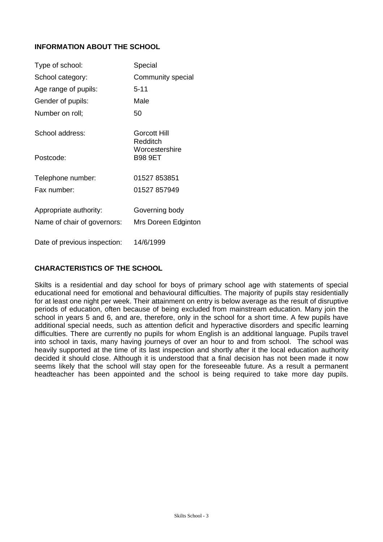# **INFORMATION ABOUT THE SCHOOL**

| Type of school:             | Special                          |
|-----------------------------|----------------------------------|
| School category:            | Community special                |
| Age range of pupils:        | 5-11                             |
| Gender of pupils:           | Male                             |
| Number on roll;             | 50                               |
| School address:             | Gorcott Hill<br>Redditch         |
| Postcode:                   | Worcestershire<br><b>B98 9ET</b> |
| Telephone number:           | 01527 853851                     |
| Fax number:                 | 01527 857949                     |
| Appropriate authority:      | Governing body                   |
| Name of chair of governors: | Mrs Doreen Edginton              |
|                             |                                  |

Date of previous inspection: 14/6/1999

# **CHARACTERISTICS OF THE SCHOOL**

Skilts is a residential and day school for boys of primary school age with statements of special educational need for emotional and behavioural difficulties. The majority of pupils stay residentially for at least one night per week. Their attainment on entry is below average as the result of disruptive periods of education, often because of being excluded from mainstream education. Many join the school in years 5 and 6, and are, therefore, only in the school for a short time. A few pupils have additional special needs, such as attention deficit and hyperactive disorders and specific learning difficulties. There are currently no pupils for whom English is an additional language. Pupils travel into school in taxis, many having journeys of over an hour to and from school. The school was heavily supported at the time of its last inspection and shortly after it the local education authority decided it should close. Although it is understood that a final decision has not been made it now seems likely that the school will stay open for the foreseeable future. As a result a permanent headteacher has been appointed and the school is being required to take more day pupils.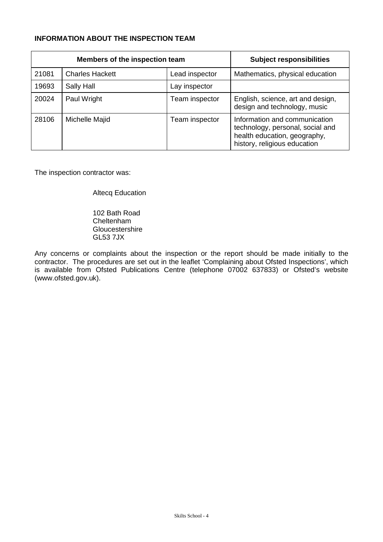## **INFORMATION ABOUT THE INSPECTION TEAM**

| Members of the inspection team |                        |                | <b>Subject responsibilities</b>                                                                                                   |
|--------------------------------|------------------------|----------------|-----------------------------------------------------------------------------------------------------------------------------------|
| 21081                          | <b>Charles Hackett</b> | Lead inspector | Mathematics, physical education                                                                                                   |
| 19693                          | Sally Hall             | Lay inspector  |                                                                                                                                   |
| 20024                          | Paul Wright            | Team inspector | English, science, art and design,<br>design and technology, music                                                                 |
| 28106                          | Michelle Majid         | Team inspector | Information and communication<br>technology, personal, social and<br>health education, geography,<br>history, religious education |

The inspection contractor was:

Altecq Education

102 Bath Road Cheltenham **Gloucestershire** GL53 7JX

Any concerns or complaints about the inspection or the report should be made initially to the contractor. The procedures are set out in the leaflet 'Complaining about Ofsted Inspections', which is available from Ofsted Publications Centre (telephone 07002 637833) or Ofsted's website (www.ofsted.gov.uk).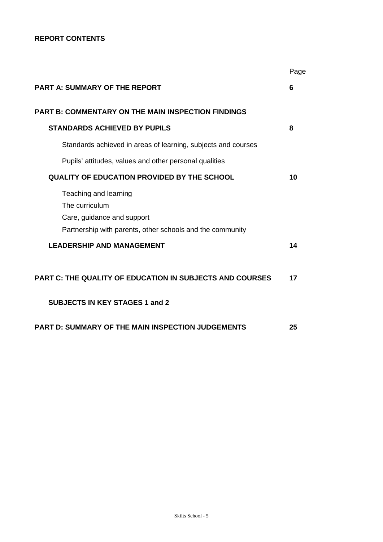## **REPORT CONTENTS**

|                                                                                                                                    | Page |
|------------------------------------------------------------------------------------------------------------------------------------|------|
| <b>PART A: SUMMARY OF THE REPORT</b>                                                                                               | 6    |
| <b>PART B: COMMENTARY ON THE MAIN INSPECTION FINDINGS</b>                                                                          |      |
| <b>STANDARDS ACHIEVED BY PUPILS</b>                                                                                                | 8    |
| Standards achieved in areas of learning, subjects and courses                                                                      |      |
| Pupils' attitudes, values and other personal qualities                                                                             |      |
| <b>QUALITY OF EDUCATION PROVIDED BY THE SCHOOL</b>                                                                                 | 10   |
| Teaching and learning<br>The curriculum<br>Care, guidance and support<br>Partnership with parents, other schools and the community |      |
| <b>LEADERSHIP AND MANAGEMENT</b>                                                                                                   | 14   |
| PART C: THE QUALITY OF EDUCATION IN SUBJECTS AND COURSES                                                                           | 17   |
| <b>SUBJECTS IN KEY STAGES 1 and 2</b>                                                                                              |      |
| PART D: SUMMARY OF THE MAIN INSPECTION JUDGEMENTS                                                                                  | 25   |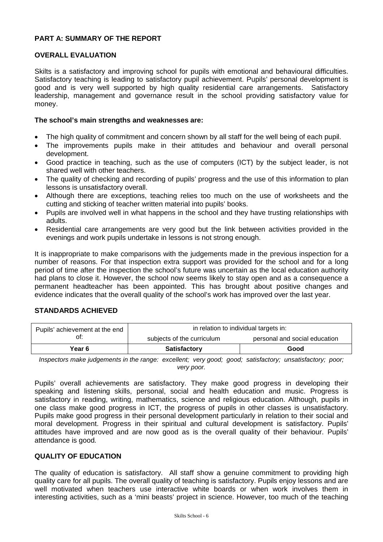## **PART A: SUMMARY OF THE REPORT**

## **OVERALL EVALUATION**

Skilts is a satisfactory and improving school for pupils with emotional and behavioural difficulties. Satisfactory teaching is leading to satisfactory pupil achievement. Pupils' personal development is good and is very well supported by high quality residential care arrangements. Satisfactory leadership, management and governance result in the school providing satisfactory value for money.

## **The school's main strengths and weaknesses are:**

- The high quality of commitment and concern shown by all staff for the well being of each pupil.
- The improvements pupils make in their attitudes and behaviour and overall personal development.
- Good practice in teaching, such as the use of computers (ICT) by the subject leader, is not shared well with other teachers.
- The quality of checking and recording of pupils' progress and the use of this information to plan lessons is unsatisfactory overall.
- Although there are exceptions, teaching relies too much on the use of worksheets and the cutting and sticking of teacher written material into pupils' books.
- Pupils are involved well in what happens in the school and they have trusting relationships with adults.
- Residential care arrangements are very good but the link between activities provided in the evenings and work pupils undertake in lessons is not strong enough.

It is inappropriate to make comparisons with the judgements made in the previous inspection for a number of reasons. For that inspection extra support was provided for the school and for a long period of time after the inspection the school's future was uncertain as the local education authority had plans to close it. However, the school now seems likely to stay open and as a consequence a permanent headteacher has been appointed. This has brought about positive changes and evidence indicates that the overall quality of the school's work has improved over the last year.

## **STANDARDS ACHIEVED**

| Pupils' achievement at the end | in relation to individual targets in: |                               |  |  |
|--------------------------------|---------------------------------------|-------------------------------|--|--|
| ot:                            | subjects of the curriculum            | personal and social education |  |  |
| Year 6                         | <b>Satisfactory</b>                   | Good                          |  |  |

*Inspectors make judgements in the range: excellent; very good; good; satisfactory; unsatisfactory; poor; very poor.*

Pupils' overall achievements are satisfactory. They make good progress in developing their speaking and listening skills, personal, social and health education and music. Progress is satisfactory in reading, writing, mathematics, science and religious education. Although, pupils in one class make good progress in ICT, the progress of pupils in other classes is unsatisfactory. Pupils make good progress in their personal development particularly in relation to their social and moral development. Progress in their spiritual and cultural development is satisfactory. Pupils' attitudes have improved and are now good as is the overall quality of their behaviour. Pupils' attendance is good.

## **QUALITY OF EDUCATION**

The quality of education is satisfactory. All staff show a genuine commitment to providing high quality care for all pupils. The overall quality of teaching is satisfactory. Pupils enjoy lessons and are well motivated when teachers use interactive white boards or when work involves them in interesting activities, such as a 'mini beasts' project in science. However, too much of the teaching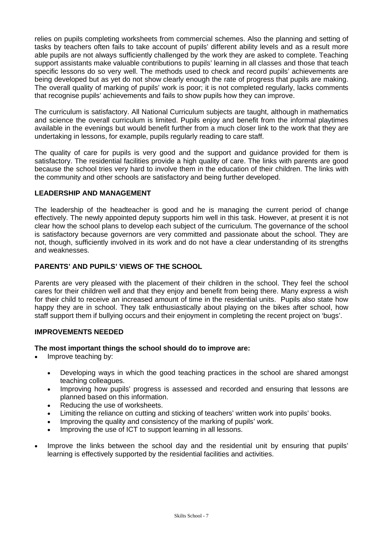relies on pupils completing worksheets from commercial schemes. Also the planning and setting of tasks by teachers often fails to take account of pupils' different ability levels and as a result more able pupils are not always sufficiently challenged by the work they are asked to complete. Teaching support assistants make valuable contributions to pupils' learning in all classes and those that teach specific lessons do so very well. The methods used to check and record pupils' achievements are being developed but as yet do not show clearly enough the rate of progress that pupils are making. The overall quality of marking of pupils' work is poor; it is not completed regularly, lacks comments that recognise pupils' achievements and fails to show pupils how they can improve.

The curriculum is satisfactory. All National Curriculum subjects are taught, although in mathematics and science the overall curriculum is limited. Pupils enjoy and benefit from the informal playtimes available in the evenings but would benefit further from a much closer link to the work that they are undertaking in lessons, for example, pupils regularly reading to care staff.

The quality of care for pupils is very good and the support and guidance provided for them is satisfactory. The residential facilities provide a high quality of care. The links with parents are good because the school tries very hard to involve them in the education of their children. The links with the community and other schools are satisfactory and being further developed.

## **LEADERSHIP AND MANAGEMENT**

The leadership of the headteacher is good and he is managing the current period of change effectively. The newly appointed deputy supports him well in this task. However, at present it is not clear how the school plans to develop each subject of the curriculum. The governance of the school is satisfactory because governors are very committed and passionate about the school. They are not, though, sufficiently involved in its work and do not have a clear understanding of its strengths and weaknesses.

## **PARENTS' AND PUPILS' VIEWS OF THE SCHOOL**

Parents are very pleased with the placement of their children in the school. They feel the school cares for their children well and that they enjoy and benefit from being there. Many express a wish for their child to receive an increased amount of time in the residential units. Pupils also state how happy they are in school. They talk enthusiastically about playing on the bikes after school, how staff support them if bullying occurs and their enjoyment in completing the recent project on 'bugs'.

## **IMPROVEMENTS NEEDED**

## **The most important things the school should do to improve are:**

- Improve teaching by:
	- Developing ways in which the good teaching practices in the school are shared amongst teaching colleagues.
	- Improving how pupils' progress is assessed and recorded and ensuring that lessons are planned based on this information.
	- Reducing the use of worksheets.
	- Limiting the reliance on cutting and sticking of teachers' written work into pupils' books.
	- Improving the quality and consistency of the marking of pupils' work.
	- Improving the use of ICT to support learning in all lessons.
- Improve the links between the school day and the residential unit by ensuring that pupils' learning is effectively supported by the residential facilities and activities.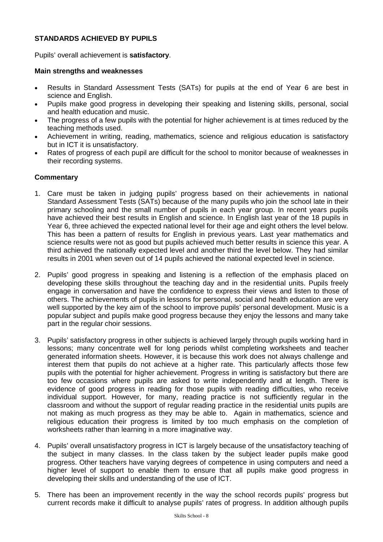## **STANDARDS ACHIEVED BY PUPILS**

Pupils' overall achievement is **satisfactory**.

#### **Main strengths and weaknesses**

- Results in Standard Assessment Tests (SATs) for pupils at the end of Year 6 are best in science and English.
- Pupils make good progress in developing their speaking and listening skills, personal, social and health education and music.
- The progress of a few pupils with the potential for higher achievement is at times reduced by the teaching methods used.
- Achievement in writing, reading, mathematics, science and religious education is satisfactory but in ICT it is unsatisfactory.
- Rates of progress of each pupil are difficult for the school to monitor because of weaknesses in their recording systems.

- 1. Care must be taken in judging pupils' progress based on their achievements in national Standard Assessment Tests (SATs) because of the many pupils who join the school late in their primary schooling and the small number of pupils in each year group. In recent years pupils have achieved their best results in English and science. In English last year of the 18 pupils in Year 6, three achieved the expected national level for their age and eight others the level below. This has been a pattern of results for English in previous years. Last year mathematics and science results were not as good but pupils achieved much better results in science this year. A third achieved the nationally expected level and another third the level below. They had similar results in 2001 when seven out of 14 pupils achieved the national expected level in science.
- 2. Pupils' good progress in speaking and listening is a reflection of the emphasis placed on developing these skills throughout the teaching day and in the residential units. Pupils freely engage in conversation and have the confidence to express their views and listen to those of others. The achievements of pupils in lessons for personal, social and health education are very well supported by the key aim of the school to improve pupils' personal development. Music is a popular subject and pupils make good progress because they enjoy the lessons and many take part in the regular choir sessions.
- 3. Pupils' satisfactory progress in other subjects is achieved largely through pupils working hard in lessons; many concentrate well for long periods whilst completing worksheets and teacher generated information sheets. However, it is because this work does not always challenge and interest them that pupils do not achieve at a higher rate. This particularly affects those few pupils with the potential for higher achievement. Progress in writing is satisfactory but there are too few occasions where pupils are asked to write independently and at length. There is evidence of good progress in reading for those pupils with reading difficulties, who receive individual support. However, for many, reading practice is not sufficiently regular in the classroom and without the support of regular reading practice in the residential units pupils are not making as much progress as they may be able to. Again in mathematics, science and religious education their progress is limited by too much emphasis on the completion of worksheets rather than learning in a more imaginative way.
- 4. Pupils' overall unsatisfactory progress in ICT is largely because of the unsatisfactory teaching of the subject in many classes. In the class taken by the subject leader pupils make good progress. Other teachers have varying degrees of competence in using computers and need a higher level of support to enable them to ensure that all pupils make good progress in developing their skills and understanding of the use of ICT.
- 5. There has been an improvement recently in the way the school records pupils' progress but current records make it difficult to analyse pupils' rates of progress. In addition although pupils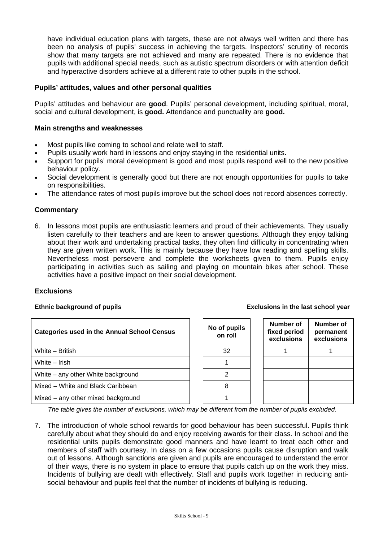have individual education plans with targets, these are not always well written and there has been no analysis of pupils' success in achieving the targets. Inspectors' scrutiny of records show that many targets are not achieved and many are repeated. There is no evidence that pupils with additional special needs, such as autistic spectrum disorders or with attention deficit and hyperactive disorders achieve at a different rate to other pupils in the school.

## **Pupils' attitudes, values and other personal qualities**

Pupils' attitudes and behaviour are **good**. Pupils' personal development, including spiritual, moral, social and cultural development, is **good.** Attendance and punctuality are **good.**

#### **Main strengths and weaknesses**

- Most pupils like coming to school and relate well to staff.
- Pupils usually work hard in lessons and enjoy staying in the residential units.
- Support for pupils' moral development is good and most pupils respond well to the new positive behaviour policy.
- Social development is generally good but there are not enough opportunities for pupils to take on responsibilities.
- The attendance rates of most pupils improve but the school does not record absences correctly.

## **Commentary**

6. In lessons most pupils are enthusiastic learners and proud of their achievements. They usually listen carefully to their teachers and are keen to answer questions. Although they enjoy talking about their work and undertaking practical tasks, they often find difficulty in concentrating when they are given written work. This is mainly because they have low reading and spelling skills. Nevertheless most persevere and complete the worksheets given to them. Pupils enjoy participating in activities such as sailing and playing on mountain bikes after school. These activities have a positive impact on their social development.

#### **Exclusions**

#### **Ethnic background of pupils Exclusions in the last school year**

| <b>Categories used in the Annual School Census</b> | No of pupils<br>on roll | Number of<br>fixed period<br>exclusions | Number of<br>permanent<br>exclusions |
|----------------------------------------------------|-------------------------|-----------------------------------------|--------------------------------------|
| White - British                                    | 32                      |                                         |                                      |
| White - Irish                                      |                         |                                         |                                      |
| White – any other White background                 |                         |                                         |                                      |
| Mixed – White and Black Caribbean                  |                         |                                         |                                      |
| Mixed – any other mixed background                 |                         |                                         |                                      |

*The table gives the number of exclusions, which may be different from the number of pupils excluded*.

7. The introduction of whole school rewards for good behaviour has been successful. Pupils think carefully about what they should do and enjoy receiving awards for their class. In school and the residential units pupils demonstrate good manners and have learnt to treat each other and members of staff with courtesy. In class on a few occasions pupils cause disruption and walk out of lessons. Although sanctions are given and pupils are encouraged to understand the error of their ways, there is no system in place to ensure that pupils catch up on the work they miss. Incidents of bullying are dealt with effectively. Staff and pupils work together in reducing antisocial behaviour and pupils feel that the number of incidents of bullying is reducing.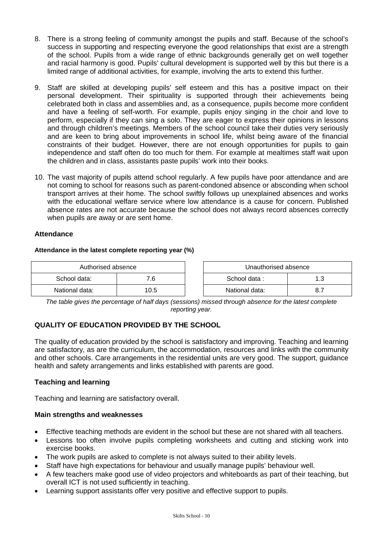- 8. There is a strong feeling of community amongst the pupils and staff. Because of the school's success in supporting and respecting everyone the good relationships that exist are a strength of the school. Pupils from a wide range of ethnic backgrounds generally get on well together and racial harmony is good. Pupils' cultural development is supported well by this but there is a limited range of additional activities, for example, involving the arts to extend this further.
- 9. Staff are skilled at developing pupils' self esteem and this has a positive impact on their personal development. Their spirituality is supported through their achievements being celebrated both in class and assemblies and, as a consequence, pupils become more confident and have a feeling of self-worth. For example, pupils enjoy singing in the choir and love to perform, especially if they can sing a solo. They are eager to express their opinions in lessons and through children's meetings. Members of the school council take their duties very seriously and are keen to bring about improvements in school life, whilst being aware of the financial constraints of their budget. However, there are not enough opportunities for pupils to gain independence and staff often do too much for them. For example at mealtimes staff wait upon the children and in class, assistants paste pupils' work into their books.
- 10. The vast majority of pupils attend school regularly. A few pupils have poor attendance and are not coming to school for reasons such as parent-condoned absence or absconding when school transport arrives at their home. The school swiftly follows up unexplained absences and works with the educational welfare service where low attendance is a cause for concern. Published absence rates are not accurate because the school does not always record absences correctly when pupils are away or are sent home.

## **Attendance**

## **Attendance in the latest complete reporting year (%)**

| Authorised absence |      | Unauthorised absence |     |
|--------------------|------|----------------------|-----|
| School data:       | 7.6  | School data:         | 1.3 |
| National data:     | 10.5 | National data:       |     |

| Unauthorised absence |     |  |  |  |
|----------------------|-----|--|--|--|
| School data:         | 1.3 |  |  |  |
| National data:       | 87  |  |  |  |

*The table gives the percentage of half days (sessions) missed through absence for the latest complete reporting year.*

# **QUALITY OF EDUCATION PROVIDED BY THE SCHOOL**

The quality of education provided by the school is satisfactory and improving. Teaching and learning are satisfactory, as are the curriculum, the accommodation, resources and links with the community and other schools. Care arrangements in the residential units are very good. The support, guidance health and safety arrangements and links established with parents are good.

## **Teaching and learning**

Teaching and learning are satisfactory overall.

## **Main strengths and weaknesses**

- Effective teaching methods are evident in the school but these are not shared with all teachers.
- Lessons too often involve pupils completing worksheets and cutting and sticking work into exercise books.
- The work pupils are asked to complete is not always suited to their ability levels.
- Staff have high expectations for behaviour and usually manage pupils' behaviour well.
- A few teachers make good use of video projectors and whiteboards as part of their teaching, but overall ICT is not used sufficiently in teaching.
- Learning support assistants offer very positive and effective support to pupils.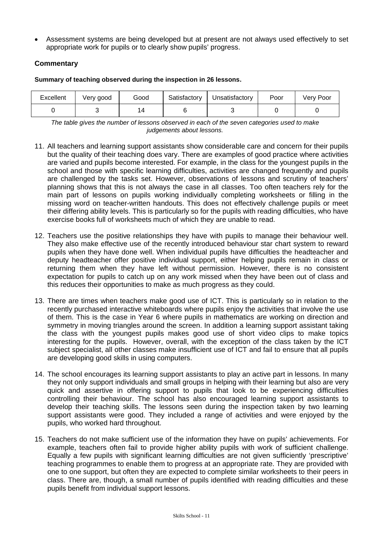Assessment systems are being developed but at present are not always used effectively to set appropriate work for pupils or to clearly show pupils' progress.

# **Commentary**

**Summary of teaching observed during the inspection in 26 lessons.**

| Excellent | Very good | Good | Satisfactory | Unsatisfactory | Poor | Very Poor |
|-----------|-----------|------|--------------|----------------|------|-----------|
|           |           |      |              |                |      |           |

*The table gives the number of lessons observed in each of the seven categories used to make judgements about lessons.*

- 11. All teachers and learning support assistants show considerable care and concern for their pupils but the quality of their teaching does vary. There are examples of good practice where activities are varied and pupils become interested. For example, in the class for the youngest pupils in the school and those with specific learning difficulties, activities are changed frequently and pupils are challenged by the tasks set. However, observations of lessons and scrutiny of teachers' planning shows that this is not always the case in all classes. Too often teachers rely for the main part of lessons on pupils working individually completing worksheets or filling in the missing word on teacher-written handouts. This does not effectively challenge pupils or meet their differing ability levels. This is particularly so for the pupils with reading difficulties, who have exercise books full of worksheets much of which they are unable to read.
- 12. Teachers use the positive relationships they have with pupils to manage their behaviour well. They also make effective use of the recently introduced behaviour star chart system to reward pupils when they have done well. When individual pupils have difficulties the headteacher and deputy headteacher offer positive individual support, either helping pupils remain in class or returning them when they have left without permission. However, there is no consistent expectation for pupils to catch up on any work missed when they have been out of class and this reduces their opportunities to make as much progress as they could.
- 13. There are times when teachers make good use of ICT. This is particularly so in relation to the recently purchased interactive whiteboards where pupils enjoy the activities that involve the use of them. This is the case in Year 6 where pupils in mathematics are working on direction and symmetry in moving triangles around the screen. In addition a learning support assistant taking the class with the youngest pupils makes good use of short video clips to make topics interesting for the pupils. However, overall, with the exception of the class taken by the ICT subject specialist, all other classes make insufficient use of ICT and fail to ensure that all pupils are developing good skills in using computers.
- 14. The school encourages its learning support assistants to play an active part in lessons. In many they not only support individuals and small groups in helping with their learning but also are very quick and assertive in offering support to pupils that look to be experiencing difficulties controlling their behaviour. The school has also encouraged learning support assistants to develop their teaching skills. The lessons seen during the inspection taken by two learning support assistants were good. They included a range of activities and were enjoyed by the pupils, who worked hard throughout.
- 15. Teachers do not make sufficient use of the information they have on pupils' achievements. For example, teachers often fail to provide higher ability pupils with work of sufficient challenge. Equally a few pupils with significant learning difficulties are not given sufficiently 'prescriptive' teaching programmes to enable them to progress at an appropriate rate. They are provided with one to one support, but often they are expected to complete similar worksheets to their peers in class. There are, though, a small number of pupils identified with reading difficulties and these pupils benefit from individual support lessons.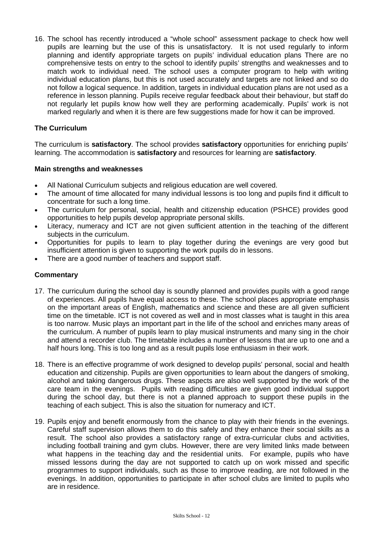16. The school has recently introduced a "whole school" assessment package to check how well pupils are learning but the use of this is unsatisfactory. It is not used regularly to inform planning and identify appropriate targets on pupils' individual education plans There are no comprehensive tests on entry to the school to identify pupils' strengths and weaknesses and to match work to individual need. The school uses a computer program to help with writing individual education plans, but this is not used accurately and targets are not linked and so do not follow a logical sequence. In addition, targets in individual education plans are not used as a reference in lesson planning. Pupils receive regular feedback about their behaviour, but staff do not regularly let pupils know how well they are performing academically. Pupils' work is not marked regularly and when it is there are few suggestions made for how it can be improved.

## **The Curriculum**

The curriculum is **satisfactory**. The school provides **satisfactory** opportunities for enriching pupils' learning. The accommodation is **satisfactory** and resources for learning are **satisfactory**.

## **Main strengths and weaknesses**

- All National Curriculum subjects and religious education are well covered.
- The amount of time allocated for many individual lessons is too long and pupils find it difficult to concentrate for such a long time.
- The curriculum for personal, social, health and citizenship education (PSHCE) provides good opportunities to help pupils develop appropriate personal skills.
- Literacy, numeracy and ICT are not given sufficient attention in the teaching of the different subjects in the curriculum.
- Opportunities for pupils to learn to play together during the evenings are very good but insufficient attention is given to supporting the work pupils do in lessons.
- There are a good number of teachers and support staff.

- 17. The curriculum during the school day is soundly planned and provides pupils with a good range of experiences. All pupils have equal access to these. The school places appropriate emphasis on the important areas of English, mathematics and science and these are all given sufficient time on the timetable. ICT is not covered as well and in most classes what is taught in this area is too narrow. Music plays an important part in the life of the school and enriches many areas of the curriculum. A number of pupils learn to play musical instruments and many sing in the choir and attend a recorder club. The timetable includes a number of lessons that are up to one and a half hours long. This is too long and as a result pupils lose enthusiasm in their work.
- 18. There is an effective programme of work designed to develop pupils' personal, social and health education and citizenship. Pupils are given opportunities to learn about the dangers of smoking, alcohol and taking dangerous drugs. These aspects are also well supported by the work of the care team in the evenings. Pupils with reading difficulties are given good individual support during the school day, but there is not a planned approach to support these pupils in the teaching of each subject. This is also the situation for numeracy and ICT.
- 19. Pupils enjoy and benefit enormously from the chance to play with their friends in the evenings. Careful staff supervision allows them to do this safely and they enhance their social skills as a result. The school also provides a satisfactory range of extra-curricular clubs and activities, including football training and gym clubs. However, there are very limited links made between what happens in the teaching day and the residential units. For example, pupils who have missed lessons during the day are not supported to catch up on work missed and specific programmes to support individuals, such as those to improve reading, are not followed in the evenings. In addition, opportunities to participate in after school clubs are limited to pupils who are in residence.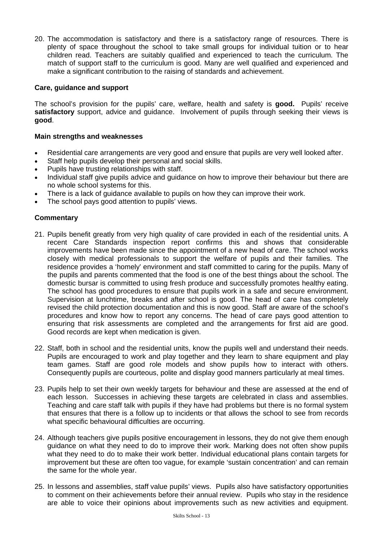20. The accommodation is satisfactory and there is a satisfactory range of resources. There is plenty of space throughout the school to take small groups for individual tuition or to hear children read. Teachers are suitably qualified and experienced to teach the curriculum. The match of support staff to the curriculum is good. Many are well qualified and experienced and make a significant contribution to the raising of standards and achievement.

## **Care, guidance and support**

The school's provision for the pupils' care, welfare, health and safety is **good.** Pupils' receive **satisfactory** support, advice and guidance. Involvement of pupils through seeking their views is **good**.

## **Main strengths and weaknesses**

- Residential care arrangements are very good and ensure that pupils are very well looked after.
- Staff help pupils develop their personal and social skills.
- Pupils have trusting relationships with staff.
- Individual staff give pupils advice and guidance on how to improve their behaviour but there are no whole school systems for this.
- There is a lack of guidance available to pupils on how they can improve their work.
- The school pays good attention to pupils' views.

- 21. Pupils benefit greatly from very high quality of care provided in each of the residential units. A recent Care Standards inspection report confirms this and shows that considerable improvements have been made since the appointment of a new head of care. The school works closely with medical professionals to support the welfare of pupils and their families. The residence provides a 'homely' environment and staff committed to caring for the pupils. Many of the pupils and parents commented that the food is one of the best things about the school. The domestic bursar is committed to using fresh produce and successfully promotes healthy eating. The school has good procedures to ensure that pupils work in a safe and secure environment. Supervision at lunchtime, breaks and after school is good. The head of care has completely revised the child protection documentation and this is now good. Staff are aware of the school's procedures and know how to report any concerns. The head of care pays good attention to ensuring that risk assessments are completed and the arrangements for first aid are good. Good records are kept when medication is given.
- 22. Staff, both in school and the residential units, know the pupils well and understand their needs. Pupils are encouraged to work and play together and they learn to share equipment and play team games. Staff are good role models and show pupils how to interact with others. Consequently pupils are courteous, polite and display good manners particularly at meal times.
- 23. Pupils help to set their own weekly targets for behaviour and these are assessed at the end of each lesson. Successes in achieving these targets are celebrated in class and assemblies. Teaching and care staff talk with pupils if they have had problems but there is no formal system that ensures that there is a follow up to incidents or that allows the school to see from records what specific behavioural difficulties are occurring.
- 24. Although teachers give pupils positive encouragement in lessons, they do not give them enough guidance on what they need to do to improve their work. Marking does not often show pupils what they need to do to make their work better. Individual educational plans contain targets for improvement but these are often too vague, for example 'sustain concentration' and can remain the same for the whole year.
- 25. In lessons and assemblies, staff value pupils' views. Pupils also have satisfactory opportunities to comment on their achievements before their annual review. Pupils who stay in the residence are able to voice their opinions about improvements such as new activities and equipment.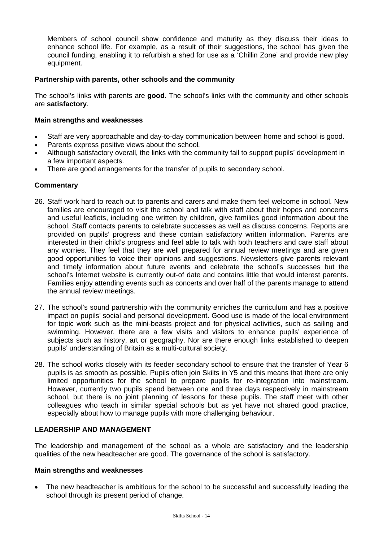Members of school council show confidence and maturity as they discuss their ideas to enhance school life. For example, as a result of their suggestions, the school has given the council funding, enabling it to refurbish a shed for use as a 'Chillin Zone' and provide new play equipment.

## **Partnership with parents, other schools and the community**

The school's links with parents are **good**. The school's links with the community and other schools are **satisfactory**.

## **Main strengths and weaknesses**

- Staff are very approachable and day-to-day communication between home and school is good.
- Parents express positive views about the school.
- Although satisfactory overall, the links with the community fail to support pupils' development in a few important aspects.
- There are good arrangements for the transfer of pupils to secondary school.

## **Commentary**

- 26. Staff work hard to reach out to parents and carers and make them feel welcome in school. New families are encouraged to visit the school and talk with staff about their hopes and concerns and useful leaflets, including one written by children, give families good information about the school. Staff contacts parents to celebrate successes as well as discuss concerns. Reports are provided on pupils' progress and these contain satisfactory written information. Parents are interested in their child's progress and feel able to talk with both teachers and care staff about any worries. They feel that they are well prepared for annual review meetings and are given good opportunities to voice their opinions and suggestions. Newsletters give parents relevant and timely information about future events and celebrate the school's successes but the school's Internet website is currently out-of date and contains little that would interest parents. Families enjoy attending events such as concerts and over half of the parents manage to attend the annual review meetings.
- 27. The school's sound partnership with the community enriches the curriculum and has a positive impact on pupils' social and personal development. Good use is made of the local environment for topic work such as the mini-beasts project and for physical activities, such as sailing and swimming. However, there are a few visits and visitors to enhance pupils' experience of subjects such as history, art or geography. Nor are there enough links established to deepen pupils' understanding of Britain as a multi-cultural society.
- 28. The school works closely with its feeder secondary school to ensure that the transfer of Year 6 pupils is as smooth as possible. Pupils often join Skilts in Y5 and this means that there are only limited opportunities for the school to prepare pupils for re-integration into mainstream. However, currently two pupils spend between one and three days respectively in mainstream school, but there is no joint planning of lessons for these pupils. The staff meet with other colleagues who teach in similar special schools but as yet have not shared good practice, especially about how to manage pupils with more challenging behaviour.

## **LEADERSHIP AND MANAGEMENT**

The leadership and management of the school as a whole are satisfactory and the leadership qualities of the new headteacher are good. The governance of the school is satisfactory.

## **Main strengths and weaknesses**

 The new headteacher is ambitious for the school to be successful and successfully leading the school through its present period of change.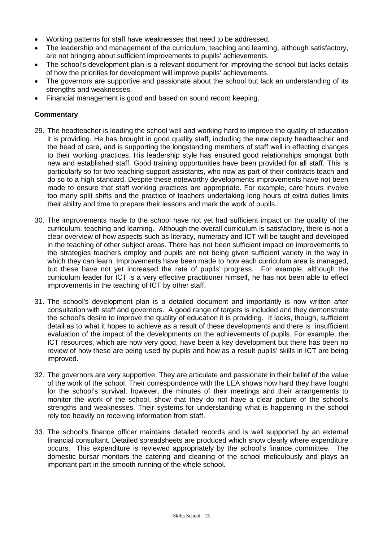- Working patterns for staff have weaknesses that need to be addressed.
- The leadership and management of the curriculum, teaching and learning, although satisfactory, are not bringing about sufficient improvements to pupils' achievements.
- The school's development plan is a relevant document for improving the school but lacks details of how the priorities for development will improve pupils' achievements.
- The governors are supportive and passionate about the school but lack an understanding of its strengths and weaknesses.
- Financial management is good and based on sound record keeping.

- 29. The headteacher is leading the school well and working hard to improve the quality of education it is providing. He has brought in good quality staff, including the new deputy headteacher and the head of care, and is supporting the longstanding members of staff well in effecting changes to their working practices. His leadership style has ensured good relationships amongst both new and established staff. Good training opportunities have been provided for all staff. This is particularly so for two teaching support assistants, who now as part of their contracts teach and do so to a high standard. Despite these noteworthy developments improvements have not been made to ensure that staff working practices are appropriate. For example, care hours involve too many split shifts and the practice of teachers undertaking long hours of extra duties limits their ability and time to prepare their lessons and mark the work of pupils.
- 30. The improvements made to the school have not yet had sufficient impact on the quality of the curriculum, teaching and learning. Although the overall curriculum is satisfactory, there is not a clear overview of how aspects such as literacy, numeracy and ICT will be taught and developed in the teaching of other subject areas. There has not been sufficient impact on improvements to the strategies teachers employ and pupils are not being given sufficient variety in the way in which they can learn. Improvements have been made to how each curriculum area is managed, but these have not yet increased the rate of pupils' progress. For example, although the curriculum leader for ICT is a very effective practitioner himself, he has not been able to effect improvements in the teaching of ICT by other staff.
- 31. The school's development plan is a detailed document and importantly is now written after consultation with staff and governors. A good range of targets is included and they demonstrate the school's desire to improve the quality of education it is providing. It lacks, though, sufficient detail as to what it hopes to achieve as a result of these developments and there is insufficient evaluation of the impact of the developments on the achievements of pupils. For example, the ICT resources, which are now very good, have been a key development but there has been no review of how these are being used by pupils and how as a result pupils' skills in ICT are being improved.
- 32. The governors are very supportive. They are articulate and passionate in their belief of the value of the work of the school. Their correspondence with the LEA shows how hard they have fought for the school's survival, however, the minutes of their meetings and their arrangements to monitor the work of the school, show that they do not have a clear picture of the school's strengths and weaknesses. Their systems for understanding what is happening in the school rely too heavily on receiving information from staff.
- 33. The school's finance officer maintains detailed records and is well supported by an external financial consultant. Detailed spreadsheets are produced which show clearly where expenditure occurs. This expenditure is reviewed appropriately by the school's finance committee. The domestic bursar monitors the catering and cleaning of the school meticulously and plays an important part in the smooth running of the whole school.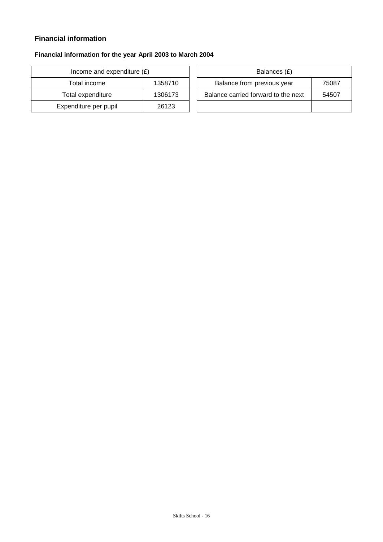# **Financial information**

# **Financial information for the year April 2003 to March 2004**

| Income and expenditure $(E)$ |         |  | Balances (£)                   |
|------------------------------|---------|--|--------------------------------|
| Total income                 | 1358710 |  | Balance from previous year     |
| Total expenditure            | 1306173 |  | Balance carried forward to the |
| Expenditure per pupil        | 26123   |  |                                |

| Income and expenditure $(E)$ |         | Balances (£)                        |       |
|------------------------------|---------|-------------------------------------|-------|
| Total income                 | 1358710 | Balance from previous year          | 75087 |
| Total expenditure            | 1306173 | Balance carried forward to the next | 54507 |
| xpenditure per pupil         | 26123   |                                     |       |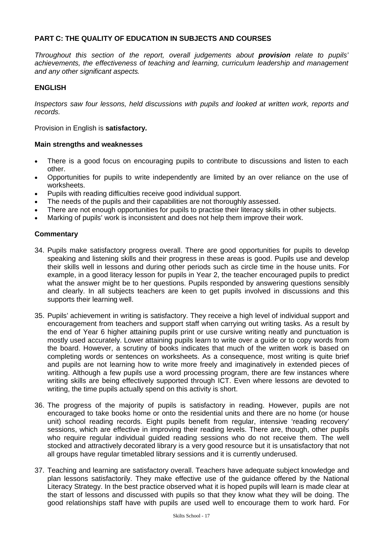## **PART C: THE QUALITY OF EDUCATION IN SUBJECTS AND COURSES**

*Throughout this section of the report, overall judgements about provision relate to pupils' achievements, the effectiveness of teaching and learning, curriculum leadership and management and any other significant aspects.*

## **ENGLISH**

*Inspectors saw four lessons, held discussions with pupils and looked at written work, reports and records.*

Provision in English is **satisfactory.** 

## **Main strengths and weaknesses**

- There is a good focus on encouraging pupils to contribute to discussions and listen to each other.
- Opportunities for pupils to write independently are limited by an over reliance on the use of worksheets.
- Pupils with reading difficulties receive good individual support.
- The needs of the pupils and their capabilities are not thoroughly assessed.
- There are not enough opportunities for pupils to practise their literacy skills in other subjects.
- Marking of pupils' work is inconsistent and does not help them improve their work.

- 34. Pupils make satisfactory progress overall. There are good opportunities for pupils to develop speaking and listening skills and their progress in these areas is good. Pupils use and develop their skills well in lessons and during other periods such as circle time in the house units. For example, in a good literacy lesson for pupils in Year 2, the teacher encouraged pupils to predict what the answer might be to her questions. Pupils responded by answering questions sensibly and clearly. In all subjects teachers are keen to get pupils involved in discussions and this supports their learning well.
- 35. Pupils' achievement in writing is satisfactory. They receive a high level of individual support and encouragement from teachers and support staff when carrying out writing tasks. As a result by the end of Year 6 higher attaining pupils print or use cursive writing neatly and punctuation is mostly used accurately. Lower attaining pupils learn to write over a guide or to copy words from the board. However, a scrutiny of books indicates that much of the written work is based on completing words or sentences on worksheets. As a consequence, most writing is quite brief and pupils are not learning how to write more freely and imaginatively in extended pieces of writing. Although a few pupils use a word processing program, there are few instances where writing skills are being effectively supported through ICT. Even where lessons are devoted to writing, the time pupils actually spend on this activity is short.
- 36. The progress of the majority of pupils is satisfactory in reading. However, pupils are not encouraged to take books home or onto the residential units and there are no home (or house unit) school reading records. Eight pupils benefit from regular, intensive 'reading recovery' sessions, which are effective in improving their reading levels. There are, though, other pupils who require regular individual guided reading sessions who do not receive them. The well stocked and attractively decorated library is a very good resource but it is unsatisfactory that not all groups have regular timetabled library sessions and it is currently underused.
- 37. Teaching and learning are satisfactory overall. Teachers have adequate subject knowledge and plan lessons satisfactorily. They make effective use of the guidance offered by the National Literacy Strategy. In the best practice observed what it is hoped pupils will learn is made clear at the start of lessons and discussed with pupils so that they know what they will be doing. The good relationships staff have with pupils are used well to encourage them to work hard. For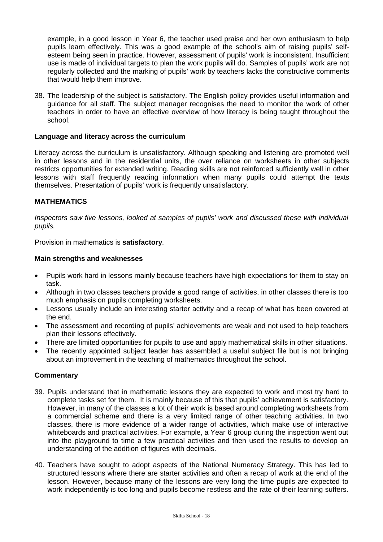example, in a good lesson in Year 6, the teacher used praise and her own enthusiasm to help pupils learn effectively. This was a good example of the school's aim of raising pupils' selfesteem being seen in practice. However, assessment of pupils' work is inconsistent. Insufficient use is made of individual targets to plan the work pupils will do. Samples of pupils' work are not regularly collected and the marking of pupils' work by teachers lacks the constructive comments that would help them improve.

38. The leadership of the subject is satisfactory. The English policy provides useful information and guidance for all staff. The subject manager recognises the need to monitor the work of other teachers in order to have an effective overview of how literacy is being taught throughout the school.

## **Language and literacy across the curriculum**

Literacy across the curriculum is unsatisfactory. Although speaking and listening are promoted well in other lessons and in the residential units, the over reliance on worksheets in other subjects restricts opportunities for extended writing. Reading skills are not reinforced sufficiently well in other lessons with staff frequently reading information when many pupils could attempt the texts themselves. Presentation of pupils' work is frequently unsatisfactory.

## **MATHEMATICS**

*Inspectors saw five lessons, looked at samples of pupils' work and discussed these with individual pupils.*

Provision in mathematics is **satisfactory**.

## **Main strengths and weaknesses**

- Pupils work hard in lessons mainly because teachers have high expectations for them to stay on task.
- Although in two classes teachers provide a good range of activities, in other classes there is too much emphasis on pupils completing worksheets.
- Lessons usually include an interesting starter activity and a recap of what has been covered at the end.
- The assessment and recording of pupils' achievements are weak and not used to help teachers plan their lessons effectively.
- There are limited opportunities for pupils to use and apply mathematical skills in other situations.
- The recently appointed subject leader has assembled a useful subject file but is not bringing about an improvement in the teaching of mathematics throughout the school.

- 39. Pupils understand that in mathematic lessons they are expected to work and most try hard to complete tasks set for them. It is mainly because of this that pupils' achievement is satisfactory. However, in many of the classes a lot of their work is based around completing worksheets from a commercial scheme and there is a very limited range of other teaching activities. In two classes, there is more evidence of a wider range of activities, which make use of interactive whiteboards and practical activities. For example, a Year 6 group during the inspection went out into the playground to time a few practical activities and then used the results to develop an understanding of the addition of figures with decimals.
- 40. Teachers have sought to adopt aspects of the National Numeracy Strategy. This has led to structured lessons where there are starter activities and often a recap of work at the end of the lesson. However, because many of the lessons are very long the time pupils are expected to work independently is too long and pupils become restless and the rate of their learning suffers.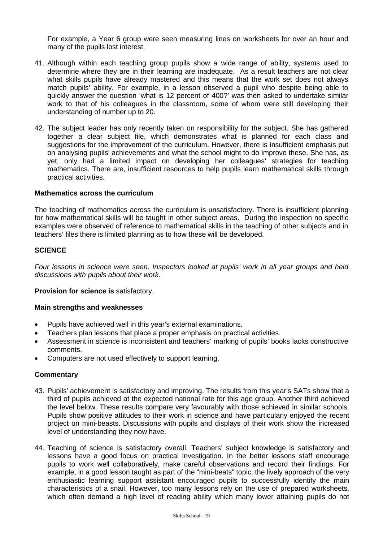For example, a Year 6 group were seen measuring lines on worksheets for over an hour and many of the pupils lost interest.

- 41. Although within each teaching group pupils show a wide range of ability, systems used to determine where they are in their learning are inadequate. As a result teachers are not clear what skills pupils have already mastered and this means that the work set does not always match pupils' ability. For example, in a lesson observed a pupil who despite being able to quickly answer the question 'what is 12 percent of 400?' was then asked to undertake similar work to that of his colleagues in the classroom, some of whom were still developing their understanding of number up to 20.
- 42. The subject leader has only recently taken on responsibility for the subject. She has gathered together a clear subject file, which demonstrates what is planned for each class and suggestions for the improvement of the curriculum. However, there is insufficient emphasis put on analysing pupils' achievements and what the school might to do improve these. She has, as yet, only had a limited impact on developing her colleagues' strategies for teaching mathematics. There are, insufficient resources to help pupils learn mathematical skills through practical activities.

## **Mathematics across the curriculum**

The teaching of mathematics across the curriculum is unsatisfactory. There is insufficient planning for how mathematical skills will be taught in other subject areas. During the inspection no specific examples were observed of reference to mathematical skills in the teaching of other subjects and in teachers' files there is limited planning as to how these will be developed.

## **SCIENCE**

*Four lessons in science were seen. Inspectors looked at pupils' work in all year groups and held discussions with pupils about their work.*

#### **Provision for science is** satisfactory.

#### **Main strengths and weaknesses**

- Pupils have achieved well in this year's external examinations.
- Teachers plan lessons that place a proper emphasis on practical activities.
- Assessment in science is inconsistent and teachers' marking of pupils' books lacks constructive comments.
- Computers are not used effectively to support learning.

- 43. Pupils' achievement is satisfactory and improving. The results from this year's SATs show that a third of pupils achieved at the expected national rate for this age group. Another third achieved the level below. These results compare very favourably with those achieved in similar schools. Pupils show positive attitudes to their work in science and have particularly enjoyed the recent project on mini-beasts. Discussions with pupils and displays of their work show the increased level of understanding they now have.
- 44. Teaching of science is satisfactory overall. Teachers' subject knowledge is satisfactory and lessons have a good focus on practical investigation. In the better lessons staff encourage pupils to work well collaboratively, make careful observations and record their findings. For example, in a good lesson taught as part of the "mini-beats" topic, the lively approach of the very enthusiastic learning support assistant encouraged pupils to successfully identify the main characteristics of a snail. However, too many lessons rely on the use of prepared worksheets, which often demand a high level of reading ability which many lower attaining pupils do not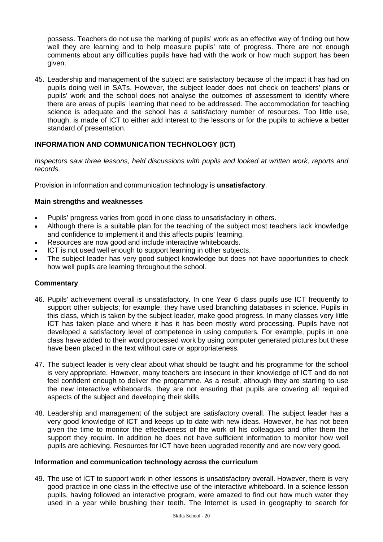possess. Teachers do not use the marking of pupils' work as an effective way of finding out how well they are learning and to help measure pupils' rate of progress. There are not enough comments about any difficulties pupils have had with the work or how much support has been given.

45. Leadership and management of the subject are satisfactory because of the impact it has had on pupils doing well in SATs. However, the subject leader does not check on teachers' plans or pupils' work and the school does not analyse the outcomes of assessment to identify where there are areas of pupils' learning that need to be addressed. The accommodation for teaching science is adequate and the school has a satisfactory number of resources. Too little use, though, is made of ICT to either add interest to the lessons or for the pupils to achieve a better standard of presentation.

## **INFORMATION AND COMMUNICATION TECHNOLOGY (ICT)**

*Inspectors saw three lessons, held discussions with pupils and looked at written work, reports and records.*

Provision in information and communication technology is **unsatisfactory**.

## **Main strengths and weaknesses**

- Pupils' progress varies from good in one class to unsatisfactory in others.
- Although there is a suitable plan for the teaching of the subject most teachers lack knowledge and confidence to implement it and this affects pupils' learning.
- Resources are now good and include interactive whiteboards.
- ICT is not used well enough to support learning in other subjects.
- The subject leader has very good subject knowledge but does not have opportunities to check how well pupils are learning throughout the school.

#### **Commentary**

- 46. Pupils' achievement overall is unsatisfactory. In one Year 6 class pupils use ICT frequently to support other subjects; for example, they have used branching databases in science. Pupils in this class, which is taken by the subject leader, make good progress. In many classes very little ICT has taken place and where it has it has been mostly word processing. Pupils have not developed a satisfactory level of competence in using computers. For example, pupils in one class have added to their word processed work by using computer generated pictures but these have been placed in the text without care or appropriateness.
- 47. The subject leader is very clear about what should be taught and his programme for the school is very appropriate. However, many teachers are insecure in their knowledge of ICT and do not feel confident enough to deliver the programme. As a result, although they are starting to use the new interactive whiteboards, they are not ensuring that pupils are covering all required aspects of the subject and developing their skills.
- 48. Leadership and management of the subject are satisfactory overall. The subject leader has a very good knowledge of ICT and keeps up to date with new ideas. However, he has not been given the time to monitor the effectiveness of the work of his colleagues and offer them the support they require. In addition he does not have sufficient information to monitor how well pupils are achieving. Resources for ICT have been upgraded recently and are now very good.

#### **Information and communication technology across the curriculum**

49. The use of ICT to support work in other lessons is unsatisfactory overall. However, there is very good practice in one class in the effective use of the interactive whiteboard. In a science lesson pupils, having followed an interactive program, were amazed to find out how much water they used in a year while brushing their teeth. The Internet is used in geography to search for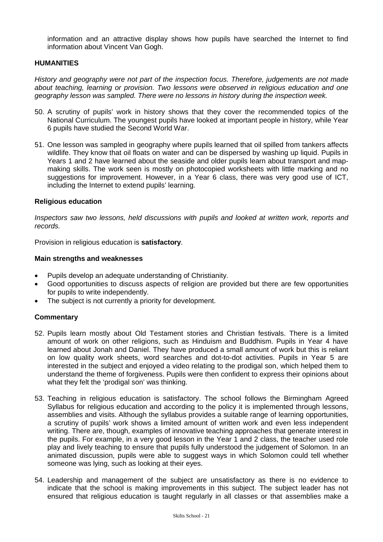information and an attractive display shows how pupils have searched the Internet to find information about Vincent Van Gogh.

## **HUMANITIES**

*History and geography were not part of the inspection focus. Therefore, judgements are not made about teaching, learning or provision. Two lessons were observed in religious education and one geography lesson was sampled. There were no lessons in history during the inspection week.* 

- 50. A scrutiny of pupils' work in history shows that they cover the recommended topics of the National Curriculum. The youngest pupils have looked at important people in history, while Year 6 pupils have studied the Second World War.
- 51. One lesson was sampled in geography where pupils learned that oil spilled from tankers affects wildlife. They know that oil floats on water and can be dispersed by washing up liquid. Pupils in Years 1 and 2 have learned about the seaside and older pupils learn about transport and mapmaking skills. The work seen is mostly on photocopied worksheets with little marking and no suggestions for improvement. However, in a Year 6 class, there was very good use of ICT, including the Internet to extend pupils' learning.

#### **Religious education**

*Inspectors saw two lessons, held discussions with pupils and looked at written work, reports and records.*

Provision in religious education is **satisfactory**.

#### **Main strengths and weaknesses**

- Pupils develop an adequate understanding of Christianity.
- Good opportunities to discuss aspects of religion are provided but there are few opportunities for pupils to write independently.
- The subject is not currently a priority for development.

- 52. Pupils learn mostly about Old Testament stories and Christian festivals. There is a limited amount of work on other religions, such as Hinduism and Buddhism. Pupils in Year 4 have learned about Jonah and Daniel. They have produced a small amount of work but this is reliant on low quality work sheets, word searches and dot-to-dot activities. Pupils in Year 5 are interested in the subject and enjoyed a video relating to the prodigal son, which helped them to understand the theme of forgiveness. Pupils were then confident to express their opinions about what they felt the 'prodigal son' was thinking.
- 53. Teaching in religious education is satisfactory. The school follows the Birmingham Agreed Syllabus for religious education and according to the policy it is implemented through lessons, assemblies and visits. Although the syllabus provides a suitable range of learning opportunities, a scrutiny of pupils' work shows a limited amount of written work and even less independent writing. There are, though, examples of innovative teaching approaches that generate interest in the pupils. For example, in a very good lesson in the Year 1 and 2 class, the teacher used role play and lively teaching to ensure that pupils fully understood the judgement of Solomon. In an animated discussion, pupils were able to suggest ways in which Solomon could tell whether someone was lying, such as looking at their eyes.
- 54. Leadership and management of the subject are unsatisfactory as there is no evidence to indicate that the school is making improvements in this subject. The subject leader has not ensured that religious education is taught regularly in all classes or that assemblies make a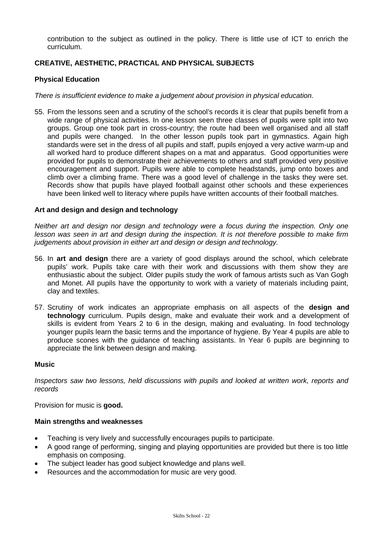contribution to the subject as outlined in the policy. There is little use of ICT to enrich the curriculum.

## **CREATIVE, AESTHETIC, PRACTICAL AND PHYSICAL SUBJECTS**

## **Physical Education**

*There is insufficient evidence to make a judgement about provision in physical education.*

55. From the lessons seen and a scrutiny of the school's records it is clear that pupils benefit from a wide range of physical activities. In one lesson seen three classes of pupils were split into two groups. Group one took part in cross-country; the route had been well organised and all staff and pupils were changed. In the other lesson pupils took part in gymnastics. Again high standards were set in the dress of all pupils and staff, pupils enjoyed a very active warm-up and all worked hard to produce different shapes on a mat and apparatus. Good opportunities were provided for pupils to demonstrate their achievements to others and staff provided very positive encouragement and support. Pupils were able to complete headstands, jump onto boxes and climb over a climbing frame. There was a good level of challenge in the tasks they were set. Records show that pupils have played football against other schools and these experiences have been linked well to literacy where pupils have written accounts of their football matches.

## **Art and design and design and technology**

*Neither art and design nor design and technology were a focus during the inspection. Only one lesson was seen in art and design during the inspection. It is not therefore possible to make firm judgements about provision in either art and design or design and technology*.

- 56. In **art and design** there are a variety of good displays around the school, which celebrate pupils' work. Pupils take care with their work and discussions with them show they are enthusiastic about the subject. Older pupils study the work of famous artists such as Van Gogh and Monet. All pupils have the opportunity to work with a variety of materials including paint, clay and textiles.
- 57. Scrutiny of work indicates an appropriate emphasis on all aspects of the **design and technology** curriculum. Pupils design, make and evaluate their work and a development of skills is evident from Years 2 to 6 in the design, making and evaluating. In food technology younger pupils learn the basic terms and the importance of hygiene. By Year 4 pupils are able to produce scones with the guidance of teaching assistants. In Year 6 pupils are beginning to appreciate the link between design and making.

# **Music**

*Inspectors saw two lessons, held discussions with pupils and looked at written work, reports and records*

Provision for music is **good.**

#### **Main strengths and weaknesses**

- Teaching is very lively and successfully encourages pupils to participate.
- A good range of performing, singing and playing opportunities are provided but there is too little emphasis on composing.
- The subject leader has good subject knowledge and plans well.
- Resources and the accommodation for music are very good.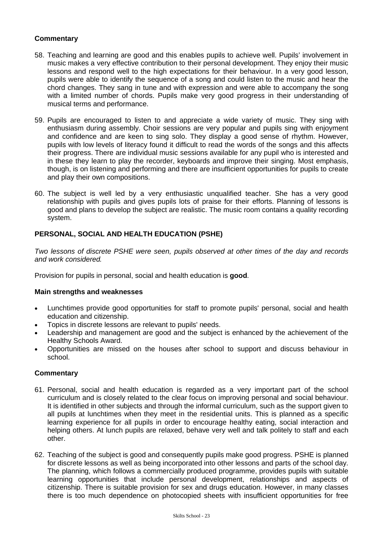## **Commentary**

- 58. Teaching and learning are good and this enables pupils to achieve well. Pupils' involvement in music makes a very effective contribution to their personal development. They enjoy their music lessons and respond well to the high expectations for their behaviour. In a very good lesson, pupils were able to identify the sequence of a song and could listen to the music and hear the chord changes. They sang in tune and with expression and were able to accompany the song with a limited number of chords. Pupils make very good progress in their understanding of musical terms and performance.
- 59. Pupils are encouraged to listen to and appreciate a wide variety of music. They sing with enthusiasm during assembly. Choir sessions are very popular and pupils sing with enjoyment and confidence and are keen to sing solo. They display a good sense of rhythm. However, pupils with low levels of literacy found it difficult to read the words of the songs and this affects their progress. There are individual music sessions available for any pupil who is interested and in these they learn to play the recorder, keyboards and improve their singing. Most emphasis, though, is on listening and performing and there are insufficient opportunities for pupils to create and play their own compositions.
- 60. The subject is well led by a very enthusiastic unqualified teacher. She has a very good relationship with pupils and gives pupils lots of praise for their efforts. Planning of lessons is good and plans to develop the subject are realistic. The music room contains a quality recording system.

## **PERSONAL, SOCIAL AND HEALTH EDUCATION (PSHE)**

*Two lessons of discrete PSHE were seen, pupils observed at other times of the day and records and work considered.*

Provision for pupils in personal, social and health education is **good**.

#### **Main strengths and weaknesses**

- Lunchtimes provide good opportunities for staff to promote pupils' personal, social and health education and citizenship.
- Topics in discrete lessons are relevant to pupils' needs.
- Leadership and management are good and the subject is enhanced by the achievement of the Healthy Schools Award.
- Opportunities are missed on the houses after school to support and discuss behaviour in school.

- 61. Personal, social and health education is regarded as a very important part of the school curriculum and is closely related to the clear focus on improving personal and social behaviour. It is identified in other subjects and through the informal curriculum, such as the support given to all pupils at lunchtimes when they meet in the residential units. This is planned as a specific learning experience for all pupils in order to encourage healthy eating, social interaction and helping others. At lunch pupils are relaxed, behave very well and talk politely to staff and each other.
- 62. Teaching of the subject is good and consequently pupils make good progress. PSHE is planned for discrete lessons as well as being incorporated into other lessons and parts of the school day. The planning, which follows a commercially produced programme, provides pupils with suitable learning opportunities that include personal development, relationships and aspects of citizenship. There is suitable provision for sex and drugs education. However, in many classes there is too much dependence on photocopied sheets with insufficient opportunities for free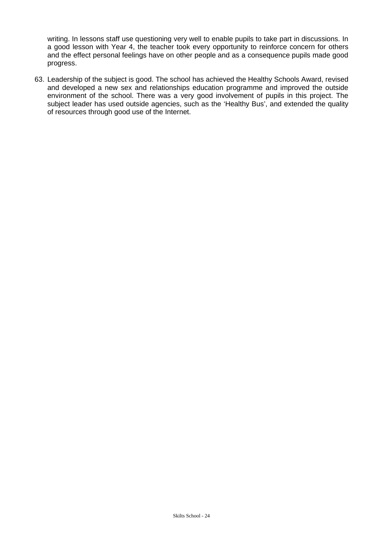writing. In lessons staff use questioning very well to enable pupils to take part in discussions. In a good lesson with Year 4, the teacher took every opportunity to reinforce concern for others and the effect personal feelings have on other people and as a consequence pupils made good progress.

63. Leadership of the subject is good. The school has achieved the Healthy Schools Award, revised and developed a new sex and relationships education programme and improved the outside environment of the school. There was a very good involvement of pupils in this project. The subject leader has used outside agencies, such as the 'Healthy Bus', and extended the quality of resources through good use of the Internet.